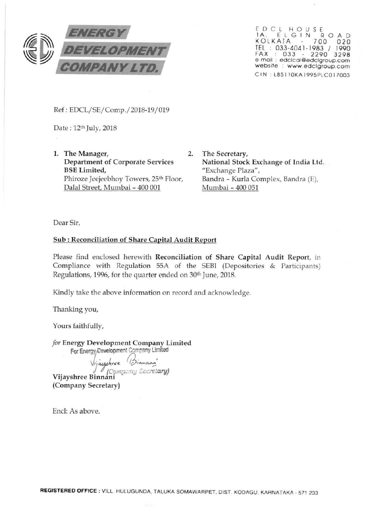

EDCL HOUSE lA , E L G I N R 0 AD KOLKATA 700 020 TEL : 033-4041-1983 / 1990 FAX : 033 - 2290 3298 e-mail : edclcal@edclgroup.com website : www.edclgroup.com C IN . L85 110KA 1995PLCO 17003

Ref: EDCL/SE/Comp./2018-19/019

Date: 12th July, 2018

1. The Manager, 2. Department of Corporate Services BSE Limited, Phiroze Jeejeebhoy Towers, 25<sup>th</sup> Floor, Dalal Street, Mumbai- 400 001

The Secretary, National Stock Exchange of India Ltd. "Exchange Plaza", Sandra - Kurla Complex, Sandra (E), Mumbai - 400 051

Dear Sir,

# Sub : Reconciliation of Share Capital Audit Report

Please find enclosed herewith Reconciliation of Share Capital Audit Report, in Compliance with Regulation 55A of the SEBI (Depositories & Participants) Regulations, 1996, for the quarter ended on 30th June, 2018.

Kindly take the above information on record and acknowledge.

Thanking you,

Yours faithfully,

*for* Energy Development Company Limited For Energy Development Company Limited

Vijayshree (Binnam'<br>Company Secretary

<sup>J</sup>*(Ccm-.;.:* · '.:J *::C:.c,.';tary)* Vijayshree Binnani · (Company Secretary)

End: As above.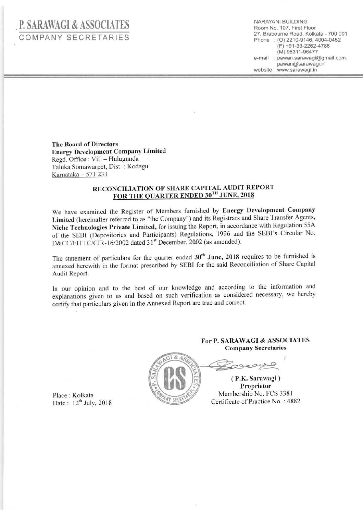# . **P. SARAWAGI & ASSOCIATES**  COMPANY SECRETARIES

NARAYAN! BUILDING Room No. 107, First Floor 27, Brabourne Road, Kolkata - 700 001 Phone: (0) 2210-9146, 4004-0452 (F) +91-33-2262-4788 (M) 98311 -96477 e-mail : pawan.sarawagi@gmail.com. pawan@sarawagi.in website : www.sarawagi.in

Tbe Board of Directors Energy Development Company Limited Regd. Office : Vill - Hulugunda Taluka Somawarpet, Dist. : Kodagu Kamataka - 571 233

# RECONCILIATION OF SHARE CAPITAL AUDIT REPORT FOR THE QUARTER ENDED  $30^{\text{TH}}$  JUNE, 2018

We have examined the Register of Members furnished by Energy Development Company Limited (hereinafter referred to as "the Company") and its Registrars and Share Transfer Agents, Niche Technologies Private Limited, for issuing the Repott, in accordance with Regulation 55A of the SEBI (Depositories and Participants) Regulations, 1996 and the SEBI's Circular No. D&CC/FITTC/CIR-16/2002 dated 31<sup>st</sup> December, 2002 (as amended).

The statement of particulars for the quarter ended  $30<sup>th</sup>$  June, 2018 requires to be furnished is annexed herewith in the format prescribed by SEBI for the said Reconciliation of Share Capital Audit Report.

ln our opinion and to the best of our knowledge and according to the information and explanations given to us and based on such verification as considered necessary, we hereby certify that particulars given in the Annexed Report are true and correct.

### For P. SARAWAGI & ASSOCIATES Company Secretaries



Place : Kolkata Date:  $12^{th}$  July, 2018

( ceaul

( P.K. Sarawagi) Proprietor Membership No. FCS 3381 Certificate of Practice No. : 4882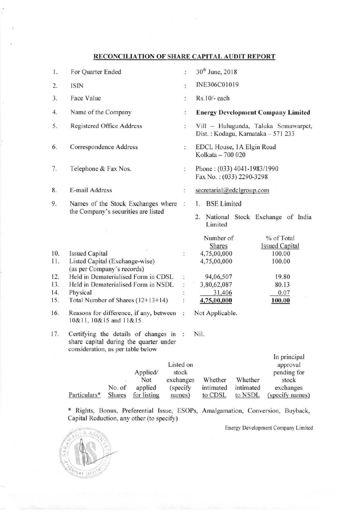# RECONCILIATION OF SHARE CAPITAL AUDIT REPORT

| 1.  | For Quarter Ended                                                                                                     | ÷              | 30 <sup>th</sup> June, 2018                                                |           |                                               |
|-----|-----------------------------------------------------------------------------------------------------------------------|----------------|----------------------------------------------------------------------------|-----------|-----------------------------------------------|
| 2.  | <b>ISIN</b>                                                                                                           | ţ.             | INE306C01019                                                               |           |                                               |
| 3.  | Face Value                                                                                                            | ÷              | Rs.10/- each                                                               |           |                                               |
| 4.  | Name of the Company                                                                                                   | :              | <b>Energy Development Company Limited</b>                                  |           |                                               |
| 5.  | Registered Office Address                                                                                             | $\ddot{\cdot}$ | Vill - Hulugunda, Taluka Somawarpet,<br>Dist.: Kodagu, Karnataka - 571 233 |           |                                               |
| 6.  | Correspondence Address                                                                                                | ÷              | EDCL House, 1A Elgin Road<br>Kolkata - 700 020                             |           |                                               |
| 7.  | Telephone & Fax Nos.                                                                                                  | $\ddot{\cdot}$ | Phone: (033) 4041-1983/1990<br>Fax No.: (033) 2290-3298                    |           |                                               |
| 8.  | E-mail Address                                                                                                        | ÷              | secretarial@edclgroup.com                                                  |           |                                               |
| 9.  | Names of the Stock Exchanges where<br>the Company's securities are listed                                             | $\frac{1}{4}$  | 1. BSE Limited                                                             |           | 2. National Stock Exchange of India           |
|     |                                                                                                                       |                | Limited                                                                    |           |                                               |
| 10. | <b>Issued Capital</b>                                                                                                 | $\ddot{\cdot}$ | Number of<br>Shares<br>4,75,00,000                                         |           | % of Total<br><b>Issued Capital</b><br>100.00 |
| 11. | Listed Capital (Exchange-wise)<br>(as per Company's records)                                                          |                | 4,75,00,000                                                                |           | 100.00                                        |
| 12. | Held in Dematerialised Form in CDSL                                                                                   |                | 94,06,507                                                                  |           | 19.80                                         |
| 13. | Held in Dematerialised Form in NSDL                                                                                   |                | 3,80,62,087                                                                |           | 80.13                                         |
| 14. | Physical                                                                                                              |                | 31,406                                                                     |           | 0.07                                          |
| 15. | Total Number of Shares (12+13+14)                                                                                     |                | 4,75,00,000                                                                |           | 100.00                                        |
| 16. | Reasons for difference, if any, between<br>Not Applicable.<br>÷<br>10&11, 10&15 and 11&15                             |                |                                                                            |           |                                               |
| 17. | Certifying the details of changes in :<br>share capital during the quarter under<br>consideration, as per table below |                | Nil.                                                                       |           |                                               |
|     |                                                                                                                       |                |                                                                            |           | In principal                                  |
|     | Listed on<br>Applied/<br>Not<br>exchanges                                                                             | stock          | Whether                                                                    | Whether   | approval<br>pending for<br>stock              |
|     | No. of<br>applied                                                                                                     | (specify       | intimated                                                                  | intimated | exchanges                                     |
|     | Particulars*<br>for listing<br><b>Shares</b>                                                                          | names)         | to CDSL                                                                    | to NSDL   | (specify names)                               |

\* Rights, Bonus, Preferential Issue, ESOPs, Amalgamation, Conversion, Buyback, Capital Reduction, any other (to specify)

Energy Development Company Limited